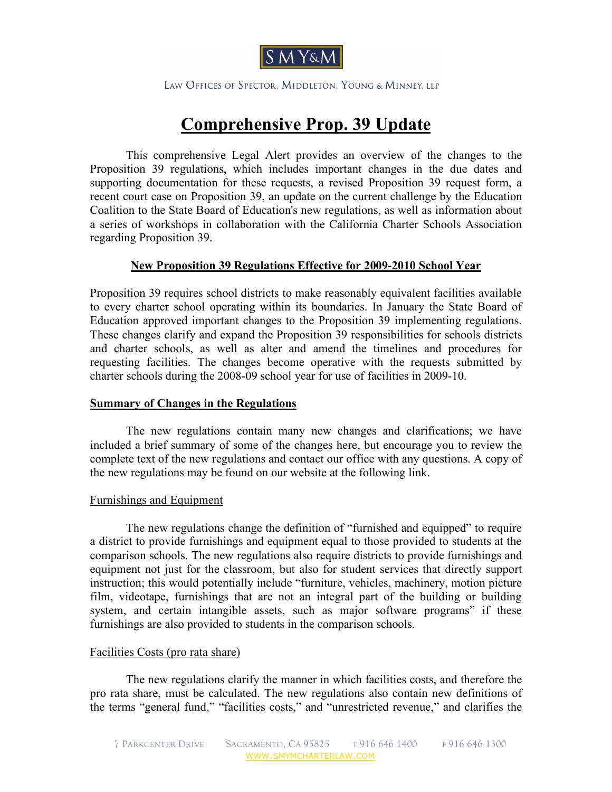

LAW OFFICES OF SPECTOR, MIDDLETON, YOUNG & MINNEY, LLP

# **Comprehensive Prop. 39 Update**

This comprehensive Legal Alert provides an overview of the changes to the Proposition 39 regulations, which includes important changes in the due dates and supporting documentation for these requests, a revised Proposition 39 request form, a recent court case on Proposition 39, an update on the current challenge by the Education Coalition to the State Board of Education's new regulations, as well as information about a series of workshops in collaboration with the California Charter Schools Association regarding Proposition 39.

#### **New Proposition 39 Regulations Effective for 2009-2010 School Year**

Proposition 39 requires school districts to make reasonably equivalent facilities available to every charter school operating within its boundaries. In January the State Board of Education approved important changes to the Proposition 39 implementing regulations. These changes clarify and expand the Proposition 39 responsibilities for schools districts and charter schools, as well as alter and amend the timelines and procedures for requesting facilities. The changes become operative with the requests submitted by charter schools during the 2008-09 school year for use of facilities in 2009-10.

## **Summary of Changes in the Regulations**

The new regulations contain many new changes and clarifications; we have included a brief summary of some of the changes here, but encourage you to review the complete text of the new regulations and contact our office with any questions. A copy of the new regulations may be found on our website at the [following link.](www.smymcharterlaw.com/pdf/Prop_39_Statutes_and_Regulations_0722081.pdf)

## Furnishings and Equipment

The new regulations change the definition of "furnished and equipped" to require a district to provide furnishings and equipment equal to those provided to students at the comparison schools. The new regulations also require districts to provide furnishings and equipment not just for the classroom, but also for student services that directly support instruction; this would potentially include "furniture, vehicles, machinery, motion picture film, videotape, furnishings that are not an integral part of the building or building system, and certain intangible assets, such as major software programs" if these furnishings are also provided to students in the comparison schools.

#### Facilities Costs (pro rata share)

The new regulations clarify the manner in which facilities costs, and therefore the pro rata share, must be calculated. The new regulations also contain new definitions of the terms "general fund," "facilities costs," and "unrestricted revenue," and clarifies the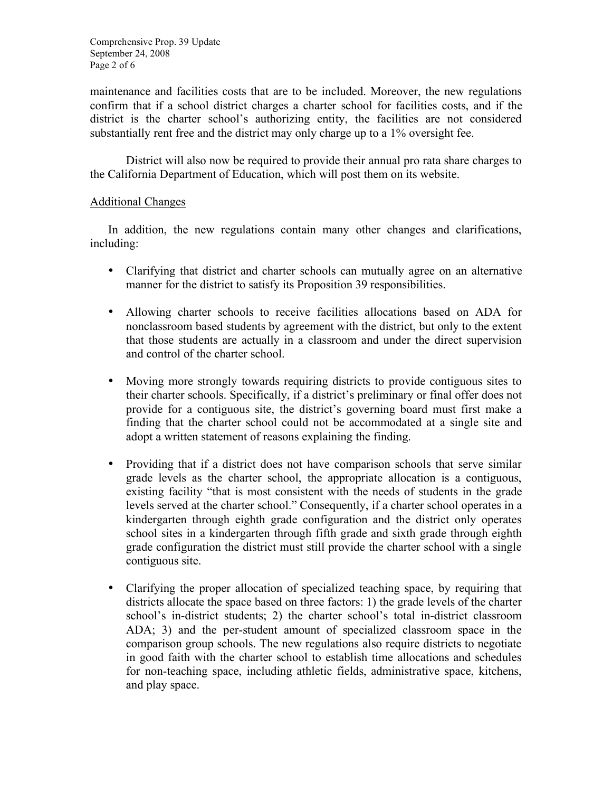Comprehensive Prop. 39 Update September 24, 2008 Page 2 of 6

maintenance and facilities costs that are to be included. Moreover, the new regulations confirm that if a school district charges a charter school for facilities costs, and if the district is the charter school's authorizing entity, the facilities are not considered substantially rent free and the district may only charge up to a 1% oversight fee.

District will also now be required to provide their annual pro rata share charges to the California Department of Education, which will post them on its website.

## Additional Changes

In addition, the new regulations contain many other changes and clarifications, including:

- Clarifying that district and charter schools can mutually agree on an alternative manner for the district to satisfy its Proposition 39 responsibilities.
- Allowing charter schools to receive facilities allocations based on ADA for nonclassroom based students by agreement with the district, but only to the extent that those students are actually in a classroom and under the direct supervision and control of the charter school.
- Moving more strongly towards requiring districts to provide contiguous sites to their charter schools. Specifically, if a district's preliminary or final offer does not provide for a contiguous site, the district's governing board must first make a finding that the charter school could not be accommodated at a single site and adopt a written statement of reasons explaining the finding.
- Providing that if a district does not have comparison schools that serve similar grade levels as the charter school, the appropriate allocation is a contiguous, existing facility "that is most consistent with the needs of students in the grade levels served at the charter school." Consequently, if a charter school operates in a kindergarten through eighth grade configuration and the district only operates school sites in a kindergarten through fifth grade and sixth grade through eighth grade configuration the district must still provide the charter school with a single contiguous site.
- Clarifying the proper allocation of specialized teaching space, by requiring that districts allocate the space based on three factors: 1) the grade levels of the charter school's in-district students; 2) the charter school's total in-district classroom ADA; 3) and the per-student amount of specialized classroom space in the comparison group schools. The new regulations also require districts to negotiate in good faith with the charter school to establish time allocations and schedules for non-teaching space, including athletic fields, administrative space, kitchens, and play space.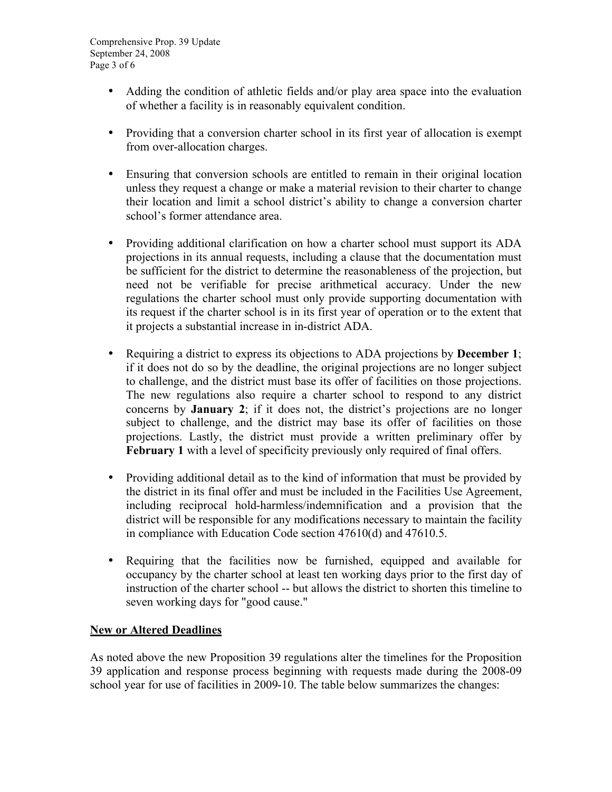- Adding the condition of athletic fields and/or play area space into the evaluation of whether a facility is in reasonably equivalent condition.
- Providing that a conversion charter school in its first year of allocation is exempt from over-allocation charges.
- Ensuring that conversion schools are entitled to remain in their original location unless they request a change or make a material revision to their charter to change their location and limit a school district's ability to change a conversion charter school's former attendance area.
- Providing additional clarification on how a charter school must support its ADA projections in its annual requests, including a clause that the documentation must be sufficient for the district to determine the reasonableness of the projection, but need not be verifiable for precise arithmetical accuracy. Under the new regulations the charter school must only provide supporting documentation with its request if the charter school is in its first year of operation or to the extent that it projects a substantial increase in in-district ADA.
- Requiring a district to express its objections to ADA projections by **December 1**; if it does not do so by the deadline, the original projections are no longer subject to challenge, and the district must base its offer of facilities on those projections. The new regulations also require a charter school to respond to any district concerns by **January 2**; if it does not, the district's projections are no longer subject to challenge, and the district may base its offer of facilities on those projections. Lastly, the district must provide a written preliminary offer by **February 1** with a level of specificity previously only required of final offers.
- Providing additional detail as to the kind of information that must be provided by the district in its final offer and must be included in the Facilities Use Agreement, including reciprocal hold-harmless/indemnification and a provision that the district will be responsible for any modifications necessary to maintain the facility in compliance with Education Code section 47610(d) and 47610.5.
- Requiring that the facilities now be furnished, equipped and available for occupancy by the charter school at least ten working days prior to the first day of instruction of the charter school -- but allows the district to shorten this timeline to seven working days for "good cause."

# **New or Altered Deadlines**

As noted above the new Proposition 39 regulations alter the timelines for the Proposition 39 application and response process beginning with requests made during the 2008-09 school year for use of facilities in 2009-10. The table below summarizes the changes: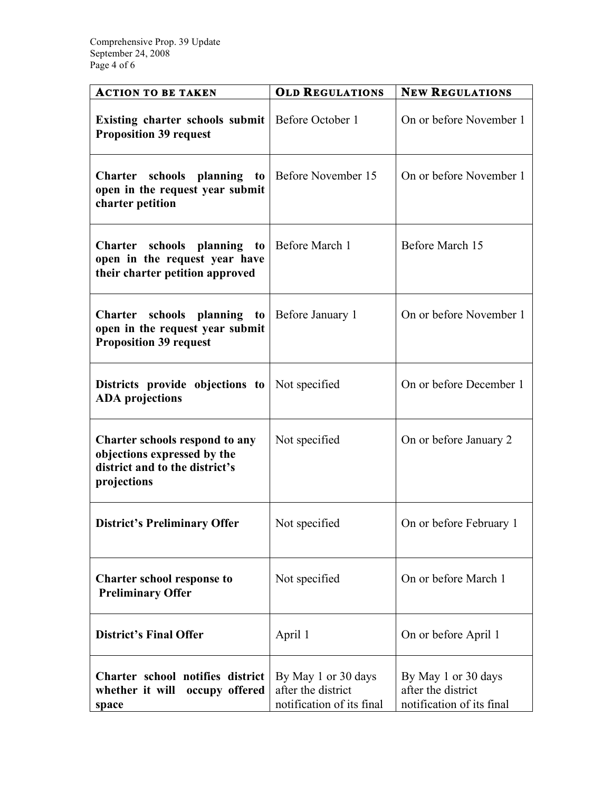| <b>ACTION TO BE TAKEN</b>                                                                                      | <b>OLD REGULATIONS</b>                                                 | <b>NEW REGULATIONS</b>                                                 |
|----------------------------------------------------------------------------------------------------------------|------------------------------------------------------------------------|------------------------------------------------------------------------|
| Existing charter schools submit<br><b>Proposition 39 request</b>                                               | Before October 1                                                       | On or before November 1                                                |
| <b>Charter</b><br>schools planning to<br>open in the request year submit<br>charter petition                   | Before November 15                                                     | On or before November 1                                                |
| Charter schools planning to<br>open in the request year have<br>their charter petition approved                | Before March 1                                                         | Before March 15                                                        |
| Charter schools planning to<br>open in the request year submit<br><b>Proposition 39 request</b>                | Before January 1                                                       | On or before November 1                                                |
| Districts provide objections to<br><b>ADA</b> projections                                                      | Not specified                                                          | On or before December 1                                                |
| Charter schools respond to any<br>objections expressed by the<br>district and to the district's<br>projections | Not specified                                                          | On or before January 2                                                 |
| <b>District's Preliminary Offer</b>                                                                            | Not specified                                                          | On or before February 1                                                |
| <b>Charter school response to</b><br><b>Preliminary Offer</b>                                                  | Not specified                                                          | On or before March 1                                                   |
| <b>District's Final Offer</b>                                                                                  | April 1                                                                | On or before April 1                                                   |
| Charter school notifies district<br>whether it will<br>occupy offered<br>space                                 | By May 1 or 30 days<br>after the district<br>notification of its final | By May 1 or 30 days<br>after the district<br>notification of its final |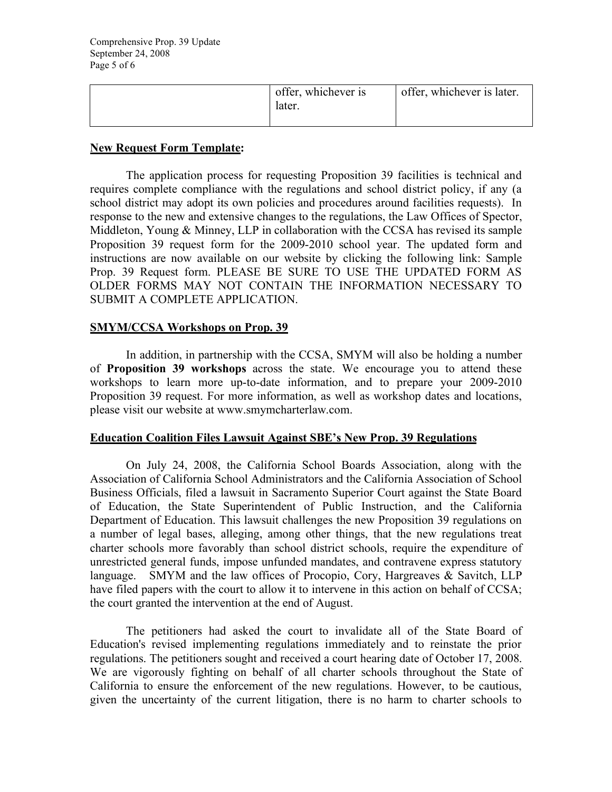| offer, whichever is<br>later. | offer, whichever is later. |
|-------------------------------|----------------------------|
|                               |                            |

## **New Request Form Template:**

The application process for requesting Proposition 39 facilities is technical and requires complete compliance with the regulations and school district policy, if any (a school district may adopt its own policies and procedures around facilities requests). In response to the new and extensive changes to the regulations, the Law Offices of Spector, Middleton, Young & Minney, LLP in collaboration with the CCSA has revised its sample Proposition 39 request form for the 2009-2010 school year. The updated form and instructions are now available on our website by clicking the following link: [Sample](www.smymcharterlaw.com/pdf/Sample_Facilities_Request_2009-10_Clean_072408.pdf)  [Prop. 39 Request form](www.smymcharterlaw.com/pdf/Sample_Facilities_Request_2009-10_Clean_072408.pdf). PLEASE BE SURE TO USE THE UPDATED FORM AS OLDER FORMS MAY NOT CONTAIN THE INFORMATION NECESSARY TO SUBMIT A COMPLETE APPLICATION.

## **SMYM/CCSA Workshops on Prop. 39**

In addition, in partnership with the CCSA, SMYM will also be holding a number of **Proposition 39 workshops** across the state. We encourage you to attend these workshops to learn more up-to-date information, and to prepare your 2009-2010 Proposition 39 request. For more information, as well as workshop dates and locations, please visit our website at [www.smymcharterlaw.com.](www.smymcharterlaw.com)

#### **Education Coalition Files Lawsuit Against SBE's New Prop. 39 Regulations**

On July 24, 2008, the California School Boards Association, along with the Association of California School Administrators and the California Association of School Business Officials, filed a lawsuit in Sacramento Superior Court against the State Board of Education, the State Superintendent of Public Instruction, and the California Department of Education. This lawsuit challenges the new Proposition 39 regulations on a number of legal bases, alleging, among other things, that the new regulations treat charter schools more favorably than school district schools, require the expenditure of unrestricted general funds, impose unfunded mandates, and contravene express statutory language. SMYM and the law offices of Procopio, Cory, Hargreaves & Savitch, LLP have filed papers with the court to allow it to intervene in this action on behalf of CCSA; the court granted the intervention at the end of August.

The petitioners had asked the court to invalidate all of the State Board of Education's revised implementing regulations immediately and to reinstate the prior regulations. The petitioners sought and received a court hearing date of October 17, 2008. We are vigorously fighting on behalf of all charter schools throughout the State of California to ensure the enforcement of the new regulations. However, to be cautious, given the uncertainty of the current litigation, there is no harm to charter schools to